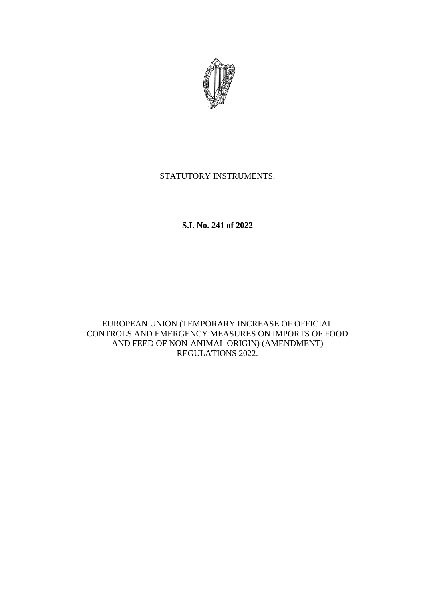

# STATUTORY INSTRUMENTS.

**S.I. No. 241 of 2022**

\_\_\_\_\_\_\_\_\_\_\_\_\_\_\_\_

EUROPEAN UNION (TEMPORARY INCREASE OF OFFICIAL CONTROLS AND EMERGENCY MEASURES ON IMPORTS OF FOOD AND FEED OF NON-ANIMAL ORIGIN) (AMENDMENT) REGULATIONS 2022.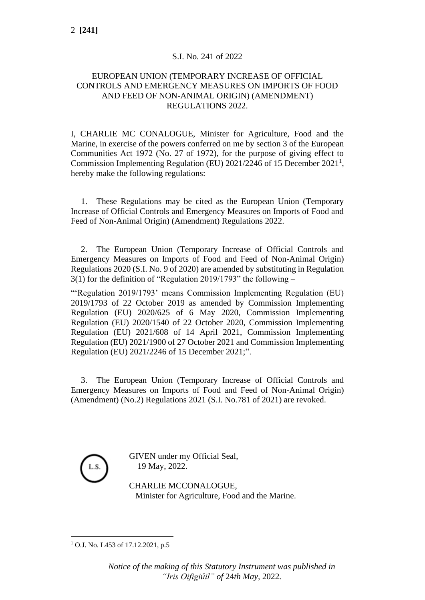#### S.I. No. 241 of 2022

### EUROPEAN UNION (TEMPORARY INCREASE OF OFFICIAL CONTROLS AND EMERGENCY MEASURES ON IMPORTS OF FOOD AND FEED OF NON-ANIMAL ORIGIN) (AMENDMENT) REGULATIONS 2022.

I, CHARLIE MC CONALOGUE, Minister for Agriculture, Food and the Marine, in exercise of the powers conferred on me by section 3 of the European Communities Act 1972 (No. 27 of 1972), for the purpose of giving effect to Commission Implementing Regulation (EU) 2021/2246 of 15 December 2021<sup>1</sup>, hereby make the following regulations:

1. These Regulations may be cited as the European Union (Temporary Increase of Official Controls and Emergency Measures on Imports of Food and Feed of Non-Animal Origin) (Amendment) Regulations 2022.

2. The European Union (Temporary Increase of Official Controls and Emergency Measures on Imports of Food and Feed of Non-Animal Origin) Regulations 2020 (S.I. No. 9 of 2020) are amended by substituting in Regulation 3(1) for the definition of "Regulation 2019/1793" the following –

"'Regulation 2019/1793' means Commission Implementing Regulation (EU) 2019/1793 of 22 October 2019 as amended by Commission Implementing Regulation (EU) 2020/625 of 6 May 2020, Commission Implementing Regulation (EU) 2020/1540 of 22 October 2020, Commission Implementing Regulation (EU) 2021/608 of 14 April 2021, Commission Implementing Regulation (EU) 2021/1900 of 27 October 2021 and Commission Implementing Regulation (EU) 2021/2246 of 15 December 2021;".

3. The European Union (Temporary Increase of Official Controls and Emergency Measures on Imports of Food and Feed of Non-Animal Origin) (Amendment) (No.2) Regulations 2021 (S.I. No.781 of 2021) are revoked.



GIVEN under my Official Seal, 19 May, 2022.

CHARLIE MCCONALOGUE, Minister for Agriculture, Food and the Marine.

<sup>&</sup>lt;sup>1</sup> O.J. No. L453 of 17.12.2021, p.5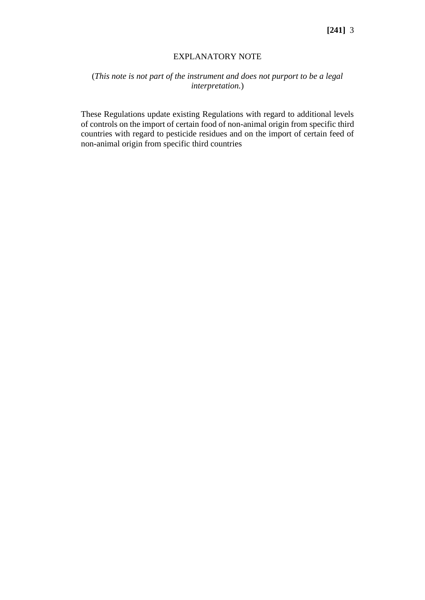### EXPLANATORY NOTE

## (*This note is not part of the instrument and does not purport to be a legal interpretation.*)

These Regulations update existing Regulations with regard to additional levels of controls on the import of certain food of non-animal origin from specific third countries with regard to pesticide residues and on the import of certain feed of non-animal origin from specific third countries